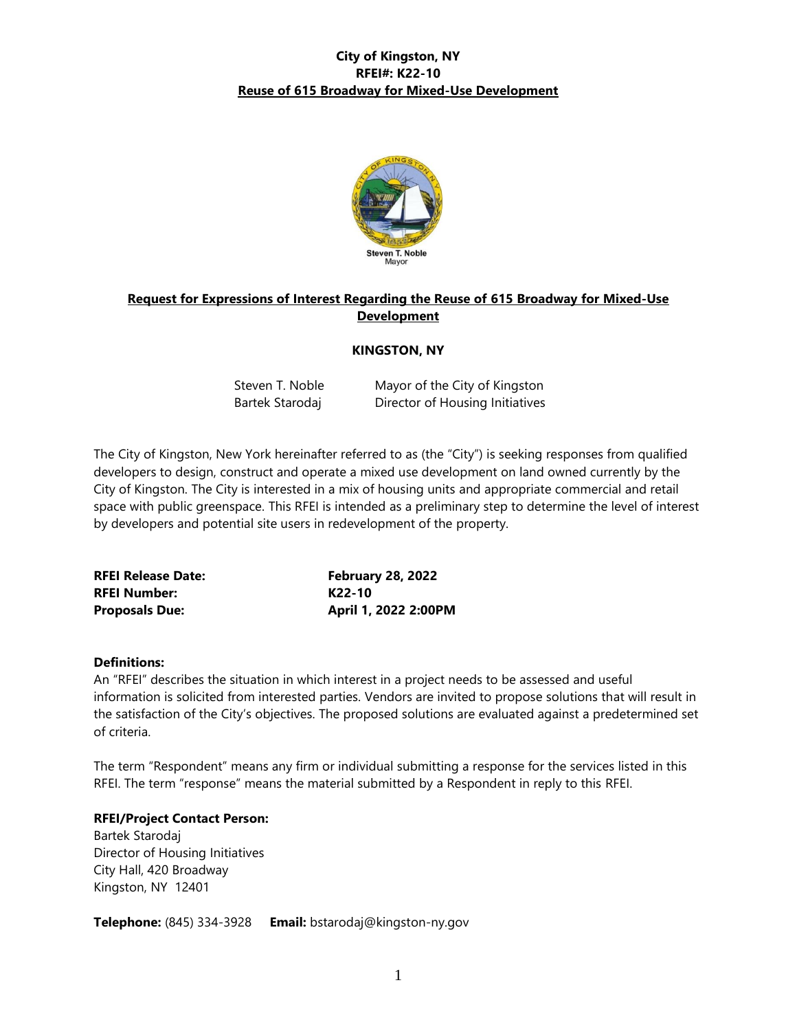

### **Request for Expressions of Interest Regarding the Reuse of 615 Broadway for Mixed-Use Development**

### **KINGSTON, NY**

| Steven T. Noble | Mayor of the City of Kingston   |
|-----------------|---------------------------------|
| Bartek Starodaj | Director of Housing Initiatives |

The City of Kingston, New York hereinafter referred to as (the "City") is seeking responses from qualified developers to design, construct and operate a mixed use development on land owned currently by the City of Kingston. The City is interested in a mix of housing units and appropriate commercial and retail space with public greenspace. This RFEI is intended as a preliminary step to determine the level of interest by developers and potential site users in redevelopment of the property.

| <b>RFEI Release Date:</b> | <b>February 28, 2022</b> |
|---------------------------|--------------------------|
| <b>RFEI Number:</b>       | K22-10                   |
| <b>Proposals Due:</b>     | April 1, 2022 2:00PM     |

#### **Definitions:**

An "RFEI" describes the situation in which interest in a project needs to be assessed and useful information is solicited from interested parties. Vendors are invited to propose solutions that will result in the satisfaction of the City's objectives. The proposed solutions are evaluated against a predetermined set of criteria.

The term "Respondent" means any firm or individual submitting a response for the services listed in this RFEI. The term "response" means the material submitted by a Respondent in reply to this RFEI.

### **RFEI/Project Contact Person:**

Bartek Starodaj Director of Housing Initiatives City Hall, 420 Broadway Kingston, NY 12401

**Telephone:** (845) 334-3928 **Email:** bstarodaj@kingston-ny.gov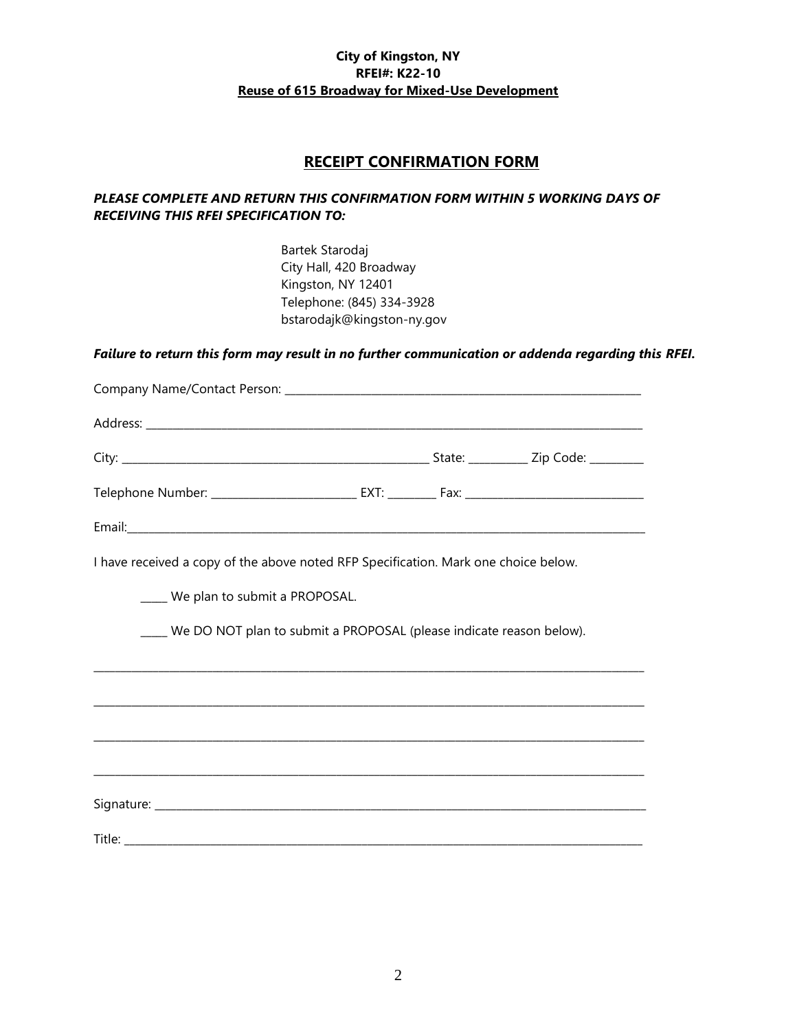### **RECEIPT CONFIRMATION FORM**

### *PLEASE COMPLETE AND RETURN THIS CONFIRMATION FORM WITHIN 5 WORKING DAYS OF RECEIVING THIS RFEI SPECIFICATION TO:*

Bartek Starodaj City Hall, 420 Broadway Kingston, NY 12401 Telephone: (845) 334-3928 bstarodajk@kingston-ny.gov

## *Failure to return this form may result in no further communication or addenda regarding this RFEI.*

| I have received a copy of the above noted RFP Specification. Mark one choice below. |  |  |
|-------------------------------------------------------------------------------------|--|--|
| ____ We plan to submit a PROPOSAL.                                                  |  |  |
| ___ We DO NOT plan to submit a PROPOSAL (please indicate reason below).             |  |  |
|                                                                                     |  |  |
|                                                                                     |  |  |
|                                                                                     |  |  |
|                                                                                     |  |  |
|                                                                                     |  |  |
|                                                                                     |  |  |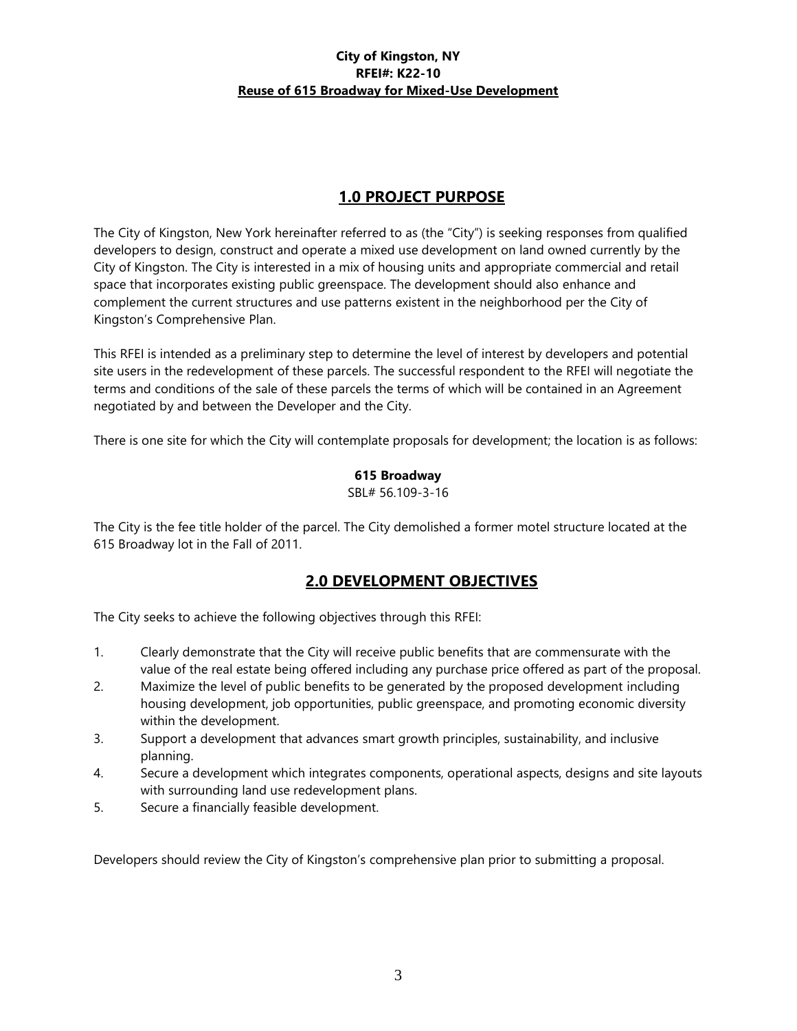# **1.0 PROJECT PURPOSE**

The City of Kingston, New York hereinafter referred to as (the "City") is seeking responses from qualified developers to design, construct and operate a mixed use development on land owned currently by the City of Kingston. The City is interested in a mix of housing units and appropriate commercial and retail space that incorporates existing public greenspace. The development should also enhance and complement the current structures and use patterns existent in the neighborhood per the City of Kingston's Comprehensive Plan.

This RFEI is intended as a preliminary step to determine the level of interest by developers and potential site users in the redevelopment of these parcels. The successful respondent to the RFEI will negotiate the terms and conditions of the sale of these parcels the terms of which will be contained in an Agreement negotiated by and between the Developer and the City.

There is one site for which the City will contemplate proposals for development; the location is as follows:

### **615 Broadway**

SBL# 56.109-3-16

The City is the fee title holder of the parcel. The City demolished a former motel structure located at the 615 Broadway lot in the Fall of 2011.

# **2.0 DEVELOPMENT OBJECTIVES**

The City seeks to achieve the following objectives through this RFEI:

- 1. Clearly demonstrate that the City will receive public benefits that are commensurate with the value of the real estate being offered including any purchase price offered as part of the proposal.
- 2. Maximize the level of public benefits to be generated by the proposed development including housing development, job opportunities, public greenspace, and promoting economic diversity within the development.
- 3. Support a development that advances smart growth principles, sustainability, and inclusive planning.
- 4. Secure a development which integrates components, operational aspects, designs and site layouts with surrounding land use redevelopment plans.
- 5. Secure a financially feasible development.

Developers should review the City of Kingston's comprehensive plan prior to submitting a proposal.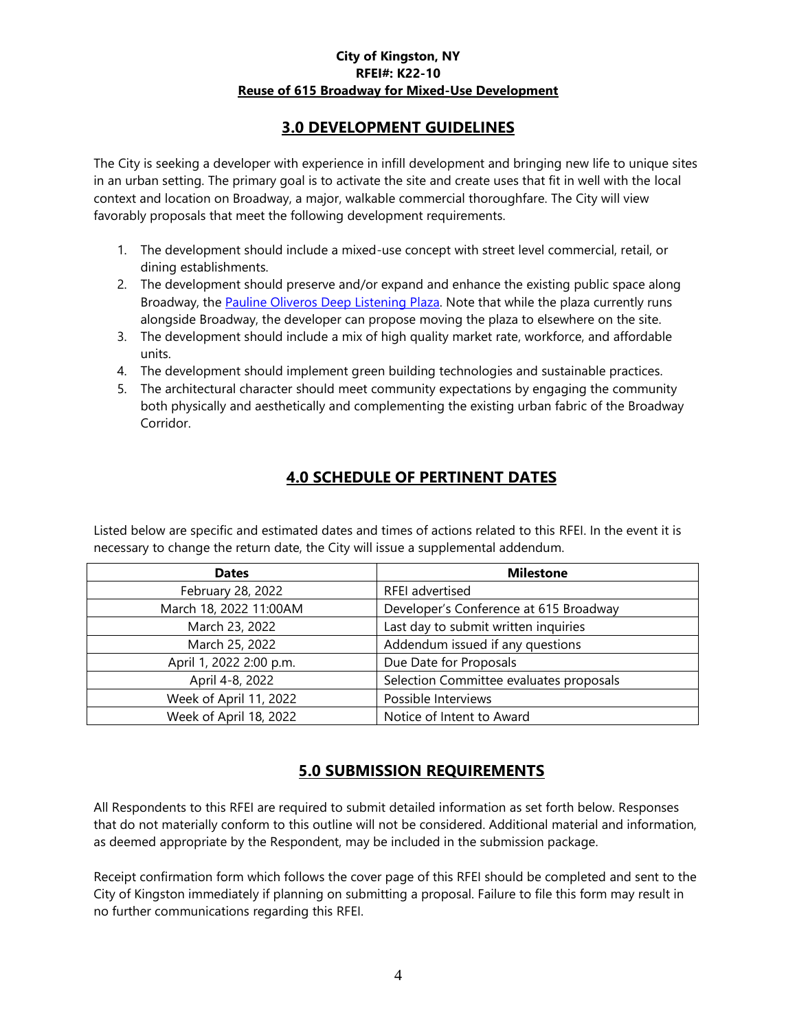# **3.0 DEVELOPMENT GUIDELINES**

The City is seeking a developer with experience in infill development and bringing new life to unique sites in an urban setting. The primary goal is to activate the site and create uses that fit in well with the local context and location on Broadway, a major, walkable commercial thoroughfare. The City will view favorably proposals that meet the following development requirements.

- 1. The development should include a mixed-use concept with street level commercial, retail, or dining establishments.
- 2. The development should preserve and/or expand and enhance the existing public space along Broadway, the [Pauline Oliveros Deep Listening Plaza.](https://madkingston.org/events/pauline-oliveros-deep-listening-plaza/) Note that while the plaza currently runs alongside Broadway, the developer can propose moving the plaza to elsewhere on the site.
- 3. The development should include a mix of high quality market rate, workforce, and affordable units.
- 4. The development should implement green building technologies and sustainable practices.
- 5. The architectural character should meet community expectations by engaging the community both physically and aesthetically and complementing the existing urban fabric of the Broadway Corridor.

# **4.0 SCHEDULE OF PERTINENT DATES**

Listed below are specific and estimated dates and times of actions related to this RFEI. In the event it is necessary to change the return date, the City will issue a supplemental addendum.

| <b>Dates</b>            | <b>Milestone</b>                        |  |
|-------------------------|-----------------------------------------|--|
| February 28, 2022       | RFEI advertised                         |  |
| March 18, 2022 11:00AM  | Developer's Conference at 615 Broadway  |  |
| March 23, 2022          | Last day to submit written inquiries    |  |
| March 25, 2022          | Addendum issued if any questions        |  |
| April 1, 2022 2:00 p.m. | Due Date for Proposals                  |  |
| April 4-8, 2022         | Selection Committee evaluates proposals |  |
| Week of April 11, 2022  | Possible Interviews                     |  |
| Week of April 18, 2022  | Notice of Intent to Award               |  |

# **5.0 SUBMISSION REQUIREMENTS**

All Respondents to this RFEI are required to submit detailed information as set forth below. Responses that do not materially conform to this outline will not be considered. Additional material and information, as deemed appropriate by the Respondent, may be included in the submission package.

Receipt confirmation form which follows the cover page of this RFEI should be completed and sent to the City of Kingston immediately if planning on submitting a proposal. Failure to file this form may result in no further communications regarding this RFEI.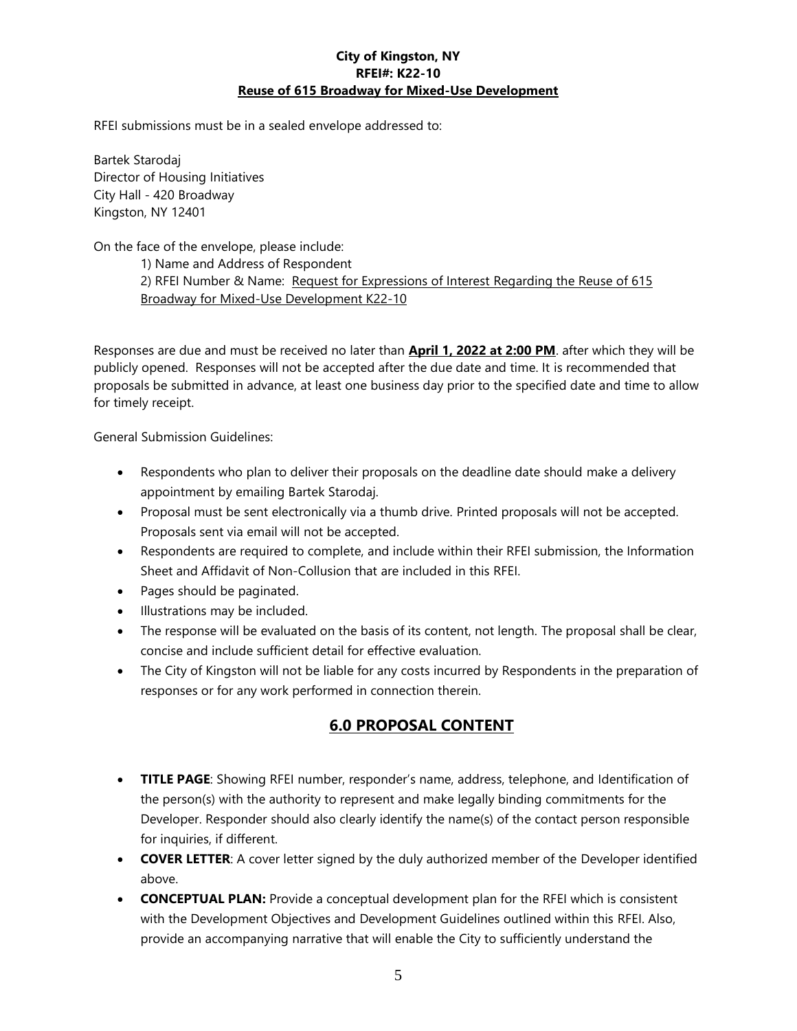RFEI submissions must be in a sealed envelope addressed to:

Bartek Starodaj Director of Housing Initiatives City Hall - 420 Broadway Kingston, NY 12401

On the face of the envelope, please include:

1) Name and Address of Respondent 2) RFEI Number & Name: Request for Expressions of Interest Regarding the Reuse of 615 Broadway for Mixed-Use Development K22-10

Responses are due and must be received no later than **April 1, 2022 at 2:00 PM**. after which they will be publicly opened. Responses will not be accepted after the due date and time. It is recommended that proposals be submitted in advance, at least one business day prior to the specified date and time to allow for timely receipt.

General Submission Guidelines:

- Respondents who plan to deliver their proposals on the deadline date should make a delivery appointment by emailing Bartek Starodaj.
- Proposal must be sent electronically via a thumb drive. Printed proposals will not be accepted. Proposals sent via email will not be accepted.
- Respondents are required to complete, and include within their RFEI submission, the Information Sheet and Affidavit of Non-Collusion that are included in this RFEI.
- Pages should be paginated.
- Illustrations may be included.
- The response will be evaluated on the basis of its content, not length. The proposal shall be clear, concise and include sufficient detail for effective evaluation.
- The City of Kingston will not be liable for any costs incurred by Respondents in the preparation of responses or for any work performed in connection therein.

## **6.0 PROPOSAL CONTENT**

- **TITLE PAGE**: Showing RFEI number, responder's name, address, telephone, and Identification of the person(s) with the authority to represent and make legally binding commitments for the Developer. Responder should also clearly identify the name(s) of the contact person responsible for inquiries, if different.
- **COVER LETTER:** A cover letter signed by the duly authorized member of the Developer identified above.
- **CONCEPTUAL PLAN:** Provide a conceptual development plan for the RFEI which is consistent with the Development Objectives and Development Guidelines outlined within this RFEI. Also, provide an accompanying narrative that will enable the City to sufficiently understand the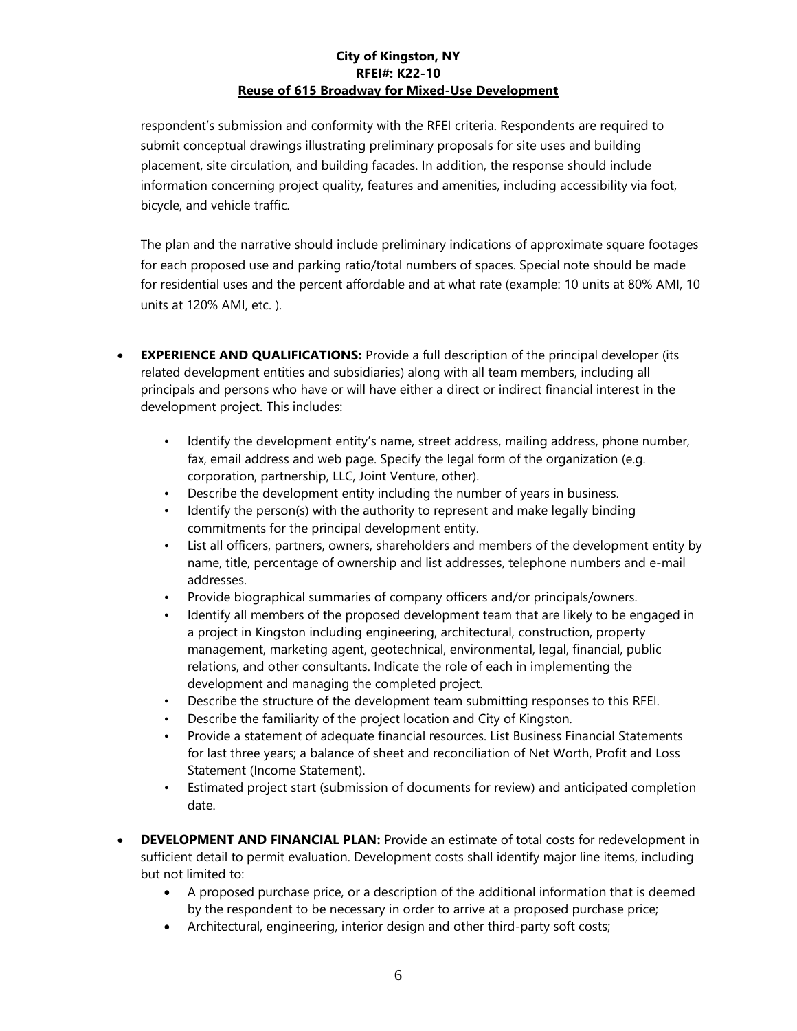respondent's submission and conformity with the RFEI criteria. Respondents are required to submit conceptual drawings illustrating preliminary proposals for site uses and building placement, site circulation, and building facades. In addition, the response should include information concerning project quality, features and amenities, including accessibility via foot, bicycle, and vehicle traffic.

The plan and the narrative should include preliminary indications of approximate square footages for each proposed use and parking ratio/total numbers of spaces. Special note should be made for residential uses and the percent affordable and at what rate (example: 10 units at 80% AMI, 10 units at 120% AMI, etc. ).

- **EXPERIENCE AND QUALIFICATIONS:** Provide a full description of the principal developer (its related development entities and subsidiaries) along with all team members, including all principals and persons who have or will have either a direct or indirect financial interest in the development project. This includes:
	- Identify the development entity's name, street address, mailing address, phone number, fax, email address and web page. Specify the legal form of the organization (e.g. corporation, partnership, LLC, Joint Venture, other).
	- Describe the development entity including the number of years in business.
	- Identify the person(s) with the authority to represent and make legally binding commitments for the principal development entity.
	- List all officers, partners, owners, shareholders and members of the development entity by name, title, percentage of ownership and list addresses, telephone numbers and e-mail addresses.
	- Provide biographical summaries of company officers and/or principals/owners.
	- Identify all members of the proposed development team that are likely to be engaged in a project in Kingston including engineering, architectural, construction, property management, marketing agent, geotechnical, environmental, legal, financial, public relations, and other consultants. Indicate the role of each in implementing the development and managing the completed project.
	- Describe the structure of the development team submitting responses to this RFEI.
	- Describe the familiarity of the project location and City of Kingston.
	- Provide a statement of adequate financial resources. List Business Financial Statements for last three years; a balance of sheet and reconciliation of Net Worth, Profit and Loss Statement (Income Statement).
	- Estimated project start (submission of documents for review) and anticipated completion date.
- **DEVELOPMENT AND FINANCIAL PLAN:** Provide an estimate of total costs for redevelopment in sufficient detail to permit evaluation. Development costs shall identify major line items, including but not limited to:
	- A proposed purchase price, or a description of the additional information that is deemed by the respondent to be necessary in order to arrive at a proposed purchase price;
	- Architectural, engineering, interior design and other third-party soft costs;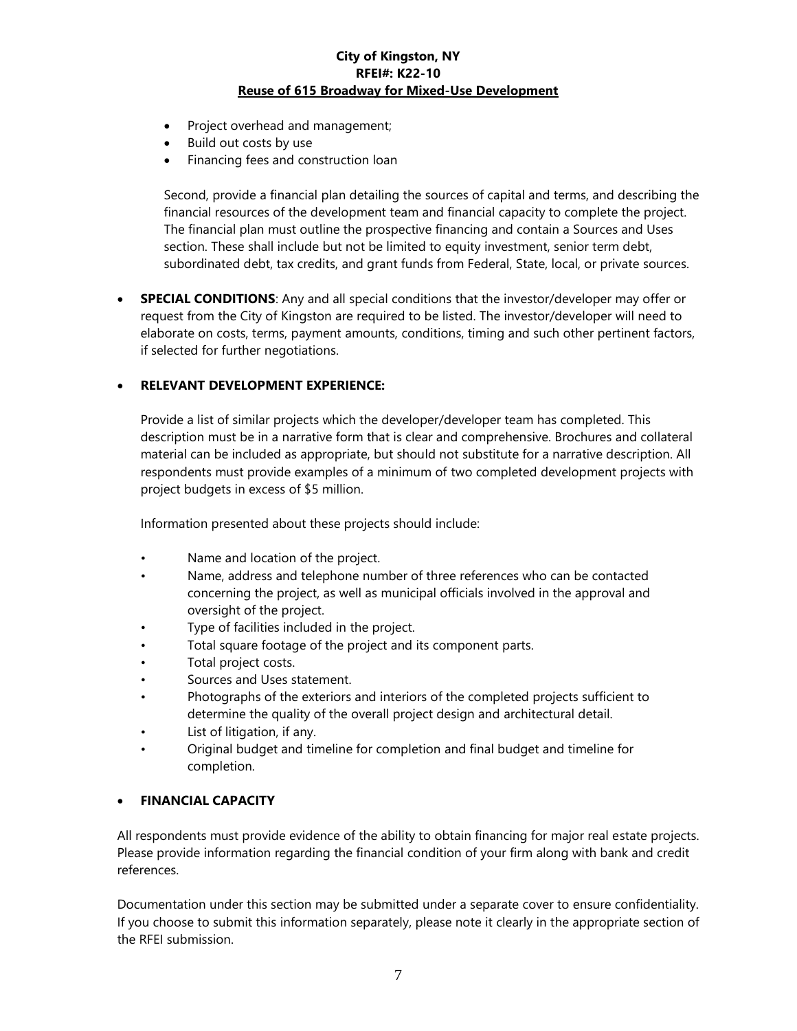- Project overhead and management;
- Build out costs by use
- Financing fees and construction loan

Second, provide a financial plan detailing the sources of capital and terms, and describing the financial resources of the development team and financial capacity to complete the project. The financial plan must outline the prospective financing and contain a Sources and Uses section. These shall include but not be limited to equity investment, senior term debt, subordinated debt, tax credits, and grant funds from Federal, State, local, or private sources.

 **SPECIAL CONDITIONS**: Any and all special conditions that the investor/developer may offer or request from the City of Kingston are required to be listed. The investor/developer will need to elaborate on costs, terms, payment amounts, conditions, timing and such other pertinent factors, if selected for further negotiations.

### **RELEVANT DEVELOPMENT EXPERIENCE:**

Provide a list of similar projects which the developer/developer team has completed. This description must be in a narrative form that is clear and comprehensive. Brochures and collateral material can be included as appropriate, but should not substitute for a narrative description. All respondents must provide examples of a minimum of two completed development projects with project budgets in excess of \$5 million.

Information presented about these projects should include:

- Name and location of the project.
- Name, address and telephone number of three references who can be contacted concerning the project, as well as municipal officials involved in the approval and oversight of the project.
- Type of facilities included in the project.
- Total square footage of the project and its component parts.
- Total project costs.
- Sources and Uses statement.
- Photographs of the exteriors and interiors of the completed projects sufficient to determine the quality of the overall project design and architectural detail.
- List of litigation, if any.
- Original budget and timeline for completion and final budget and timeline for completion.

### **FINANCIAL CAPACITY**

All respondents must provide evidence of the ability to obtain financing for major real estate projects. Please provide information regarding the financial condition of your firm along with bank and credit references.

Documentation under this section may be submitted under a separate cover to ensure confidentiality. If you choose to submit this information separately, please note it clearly in the appropriate section of the RFEI submission.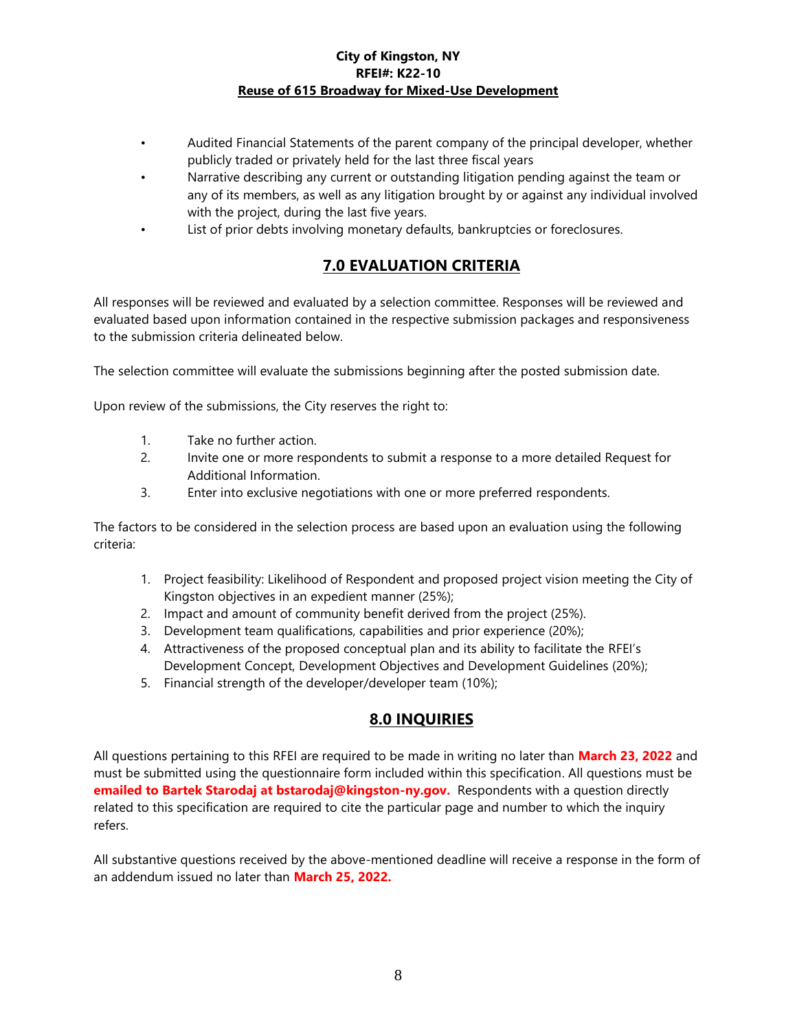- Audited Financial Statements of the parent company of the principal developer, whether publicly traded or privately held for the last three fiscal years
- Narrative describing any current or outstanding litigation pending against the team or any of its members, as well as any litigation brought by or against any individual involved with the project, during the last five years.
- List of prior debts involving monetary defaults, bankruptcies or foreclosures.

# **7.0 EVALUATION CRITERIA**

All responses will be reviewed and evaluated by a selection committee. Responses will be reviewed and evaluated based upon information contained in the respective submission packages and responsiveness to the submission criteria delineated below.

The selection committee will evaluate the submissions beginning after the posted submission date.

Upon review of the submissions, the City reserves the right to:

- 1. Take no further action.
- 2. Invite one or more respondents to submit a response to a more detailed Request for Additional Information.
- 3. Enter into exclusive negotiations with one or more preferred respondents.

The factors to be considered in the selection process are based upon an evaluation using the following criteria:

- 1. Project feasibility: Likelihood of Respondent and proposed project vision meeting the City of Kingston objectives in an expedient manner (25%);
- 2. Impact and amount of community benefit derived from the project (25%).
- 3. Development team qualifications, capabilities and prior experience (20%);
- 4. Attractiveness of the proposed conceptual plan and its ability to facilitate the RFEI's Development Concept, Development Objectives and Development Guidelines (20%);
- 5. Financial strength of the developer/developer team (10%);

# **8.0 INQUIRIES**

All questions pertaining to this RFEI are required to be made in writing no later than **March 23, 2022** and must be submitted using the questionnaire form included within this specification. All questions must be **emailed to Bartek Starodaj at bstarodaj@kingston-ny.gov.** Respondents with a question directly related to this specification are required to cite the particular page and number to which the inquiry refers.

All substantive questions received by the above-mentioned deadline will receive a response in the form of an addendum issued no later than **March 25, 2022.**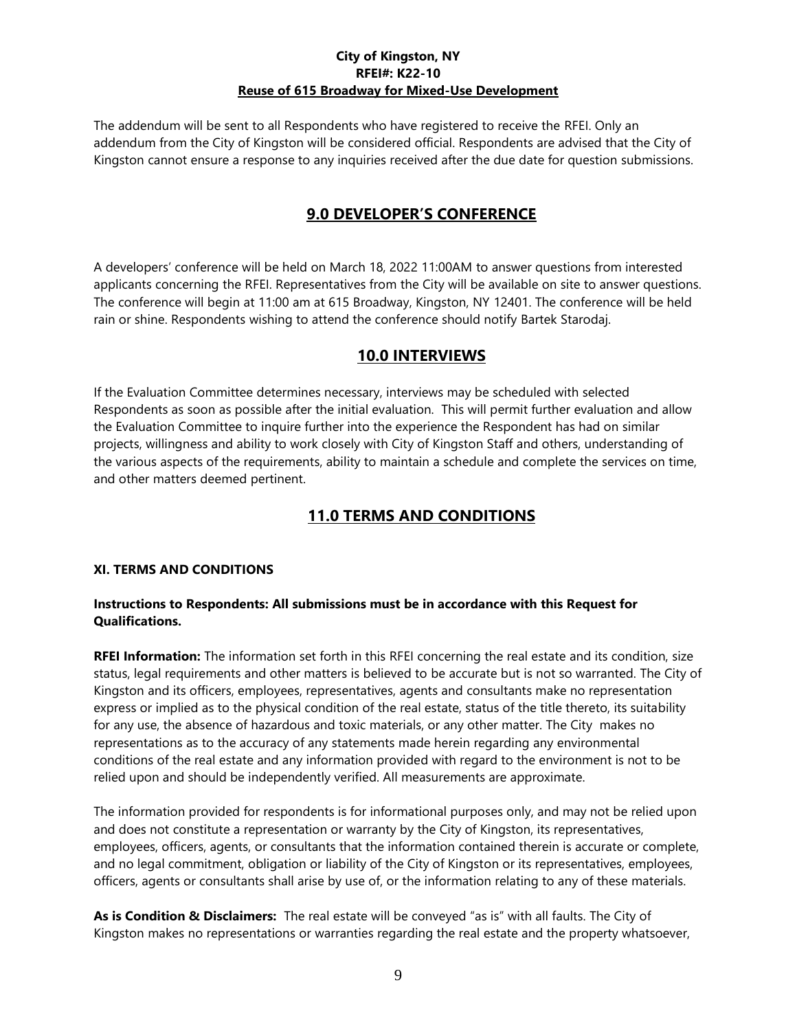The addendum will be sent to all Respondents who have registered to receive the RFEI. Only an addendum from the City of Kingston will be considered official. Respondents are advised that the City of Kingston cannot ensure a response to any inquiries received after the due date for question submissions.

# **9.0 DEVELOPER'S CONFERENCE**

A developers' conference will be held on March 18, 2022 11:00AM to answer questions from interested applicants concerning the RFEI. Representatives from the City will be available on site to answer questions. The conference will begin at 11:00 am at 615 Broadway, Kingston, NY 12401. The conference will be held rain or shine. Respondents wishing to attend the conference should notify Bartek Starodaj.

## **10.0 INTERVIEWS**

If the Evaluation Committee determines necessary, interviews may be scheduled with selected Respondents as soon as possible after the initial evaluation. This will permit further evaluation and allow the Evaluation Committee to inquire further into the experience the Respondent has had on similar projects, willingness and ability to work closely with City of Kingston Staff and others, understanding of the various aspects of the requirements, ability to maintain a schedule and complete the services on time, and other matters deemed pertinent.

# **11.0 TERMS AND CONDITIONS**

### **XI. TERMS AND CONDITIONS**

### **Instructions to Respondents: All submissions must be in accordance with this Request for Qualifications.**

**RFEI Information:** The information set forth in this RFEI concerning the real estate and its condition, size status, legal requirements and other matters is believed to be accurate but is not so warranted. The City of Kingston and its officers, employees, representatives, agents and consultants make no representation express or implied as to the physical condition of the real estate, status of the title thereto, its suitability for any use, the absence of hazardous and toxic materials, or any other matter. The City makes no representations as to the accuracy of any statements made herein regarding any environmental conditions of the real estate and any information provided with regard to the environment is not to be relied upon and should be independently verified. All measurements are approximate.

The information provided for respondents is for informational purposes only, and may not be relied upon and does not constitute a representation or warranty by the City of Kingston, its representatives, employees, officers, agents, or consultants that the information contained therein is accurate or complete, and no legal commitment, obligation or liability of the City of Kingston or its representatives, employees, officers, agents or consultants shall arise by use of, or the information relating to any of these materials.

**As is Condition & Disclaimers:** The real estate will be conveyed "as is" with all faults. The City of Kingston makes no representations or warranties regarding the real estate and the property whatsoever,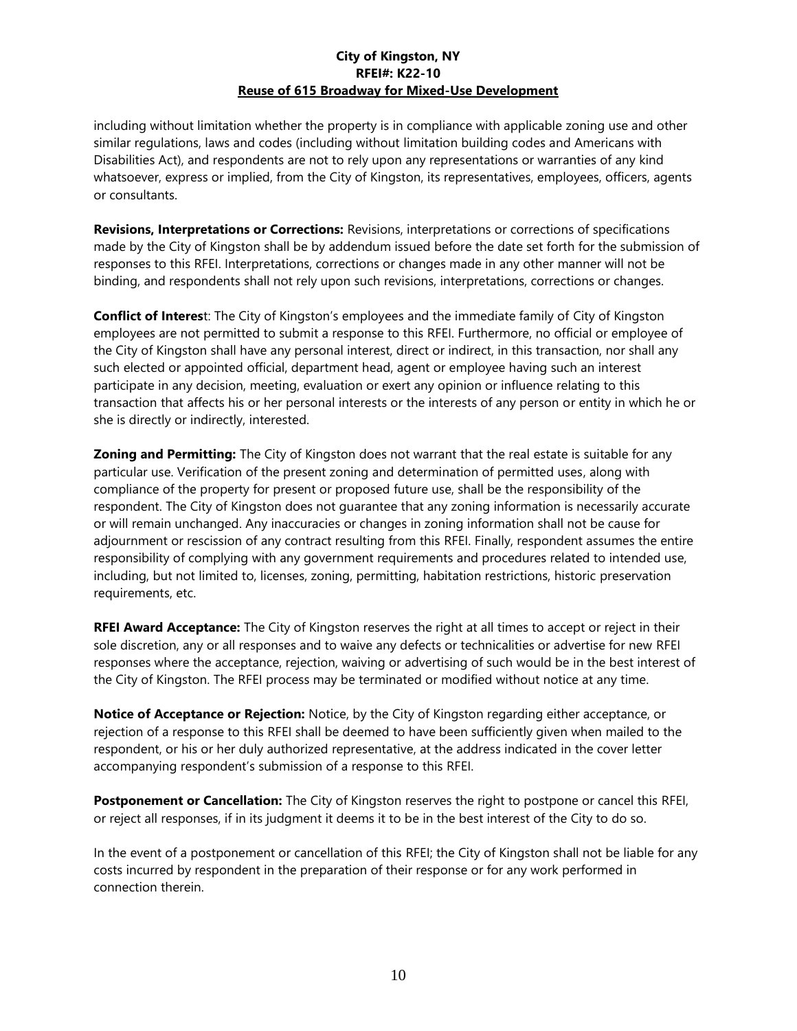including without limitation whether the property is in compliance with applicable zoning use and other similar regulations, laws and codes (including without limitation building codes and Americans with Disabilities Act), and respondents are not to rely upon any representations or warranties of any kind whatsoever, express or implied, from the City of Kingston, its representatives, employees, officers, agents or consultants.

**Revisions, Interpretations or Corrections:** Revisions, interpretations or corrections of specifications made by the City of Kingston shall be by addendum issued before the date set forth for the submission of responses to this RFEI. Interpretations, corrections or changes made in any other manner will not be binding, and respondents shall not rely upon such revisions, interpretations, corrections or changes.

**Conflict of Interes**t: The City of Kingston's employees and the immediate family of City of Kingston employees are not permitted to submit a response to this RFEI. Furthermore, no official or employee of the City of Kingston shall have any personal interest, direct or indirect, in this transaction, nor shall any such elected or appointed official, department head, agent or employee having such an interest participate in any decision, meeting, evaluation or exert any opinion or influence relating to this transaction that affects his or her personal interests or the interests of any person or entity in which he or she is directly or indirectly, interested.

**Zoning and Permitting:** The City of Kingston does not warrant that the real estate is suitable for any particular use. Verification of the present zoning and determination of permitted uses, along with compliance of the property for present or proposed future use, shall be the responsibility of the respondent. The City of Kingston does not guarantee that any zoning information is necessarily accurate or will remain unchanged. Any inaccuracies or changes in zoning information shall not be cause for adjournment or rescission of any contract resulting from this RFEI. Finally, respondent assumes the entire responsibility of complying with any government requirements and procedures related to intended use, including, but not limited to, licenses, zoning, permitting, habitation restrictions, historic preservation requirements, etc.

**RFEI Award Acceptance:** The City of Kingston reserves the right at all times to accept or reject in their sole discretion, any or all responses and to waive any defects or technicalities or advertise for new RFEI responses where the acceptance, rejection, waiving or advertising of such would be in the best interest of the City of Kingston. The RFEI process may be terminated or modified without notice at any time.

**Notice of Acceptance or Rejection:** Notice, by the City of Kingston regarding either acceptance, or rejection of a response to this RFEI shall be deemed to have been sufficiently given when mailed to the respondent, or his or her duly authorized representative, at the address indicated in the cover letter accompanying respondent's submission of a response to this RFEI.

**Postponement or Cancellation:** The City of Kingston reserves the right to postpone or cancel this RFEI, or reject all responses, if in its judgment it deems it to be in the best interest of the City to do so.

In the event of a postponement or cancellation of this RFEI; the City of Kingston shall not be liable for any costs incurred by respondent in the preparation of their response or for any work performed in connection therein.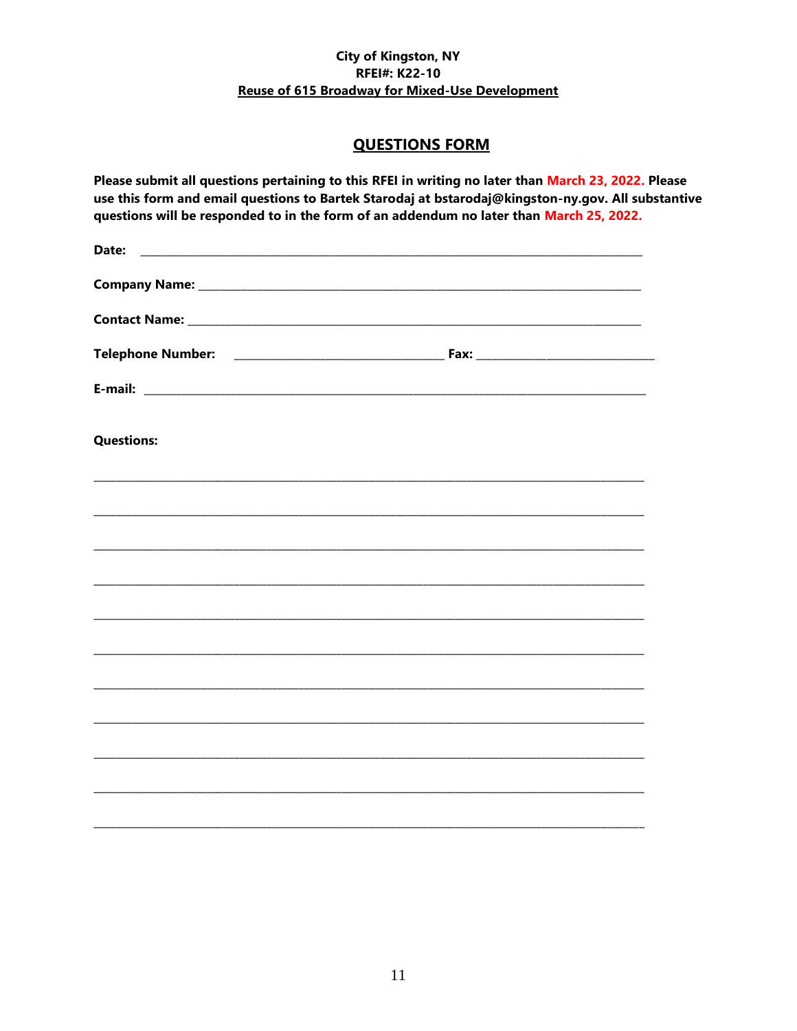## **QUESTIONS FORM**

Please submit all questions pertaining to this RFEI in writing no later than March 23, 2022. Please use this form and email questions to Bartek Starodaj at bstarodaj@kingston-ny.gov. All substantive questions will be responded to in the form of an addendum no later than March 25, 2022.

| Date:<br><u> 2000 - Jan James James Jan James James James James James James James James James James James James James Jam</u> |                                                                                                                       |  |
|-------------------------------------------------------------------------------------------------------------------------------|-----------------------------------------------------------------------------------------------------------------------|--|
|                                                                                                                               |                                                                                                                       |  |
|                                                                                                                               |                                                                                                                       |  |
|                                                                                                                               |                                                                                                                       |  |
|                                                                                                                               |                                                                                                                       |  |
| <b>Questions:</b>                                                                                                             |                                                                                                                       |  |
|                                                                                                                               |                                                                                                                       |  |
|                                                                                                                               |                                                                                                                       |  |
| <u> 1989 - Johann Harry Harry Harry Harry Harry Harry Harry Harry Harry Harry Harry Harry Harry Harry Harry Harry</u>         |                                                                                                                       |  |
|                                                                                                                               |                                                                                                                       |  |
|                                                                                                                               |                                                                                                                       |  |
|                                                                                                                               |                                                                                                                       |  |
|                                                                                                                               | <u> 1989 - Johann Stoff, deutscher Stoff, der Stoff, der Stoff, der Stoff, der Stoff, der Stoff, der Stoff, der S</u> |  |
|                                                                                                                               |                                                                                                                       |  |
|                                                                                                                               |                                                                                                                       |  |
|                                                                                                                               |                                                                                                                       |  |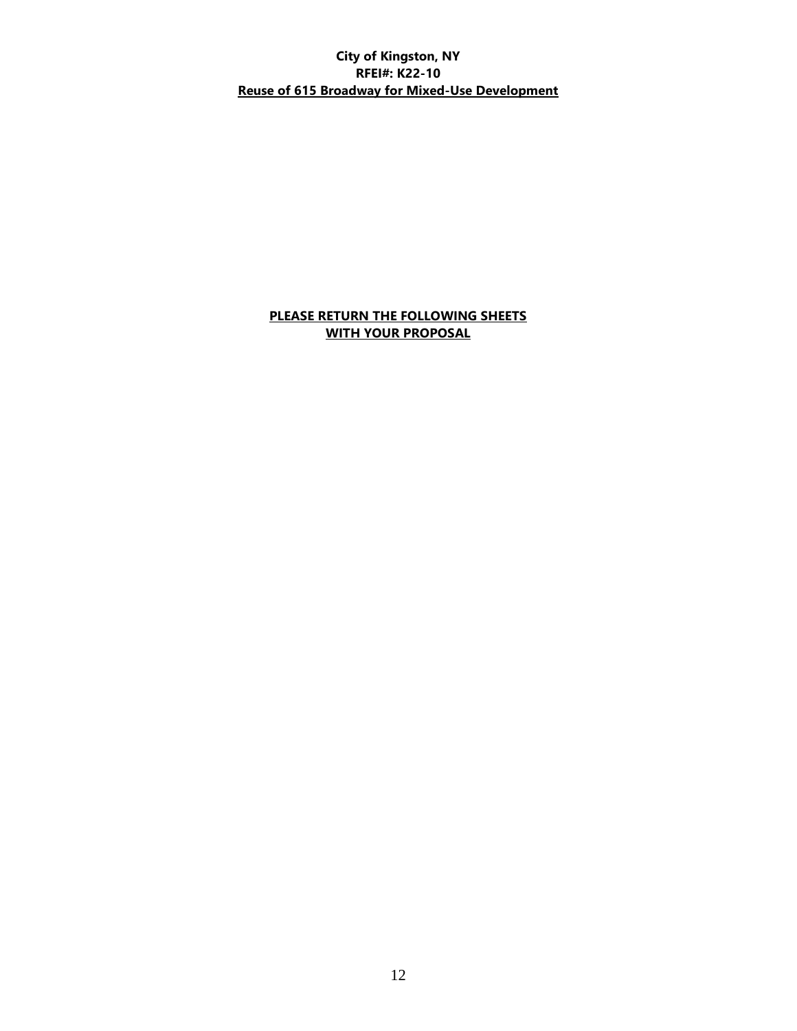### **PLEASE RETURN THE FOLLOWING SHEETS WITH YOUR PROPOSAL**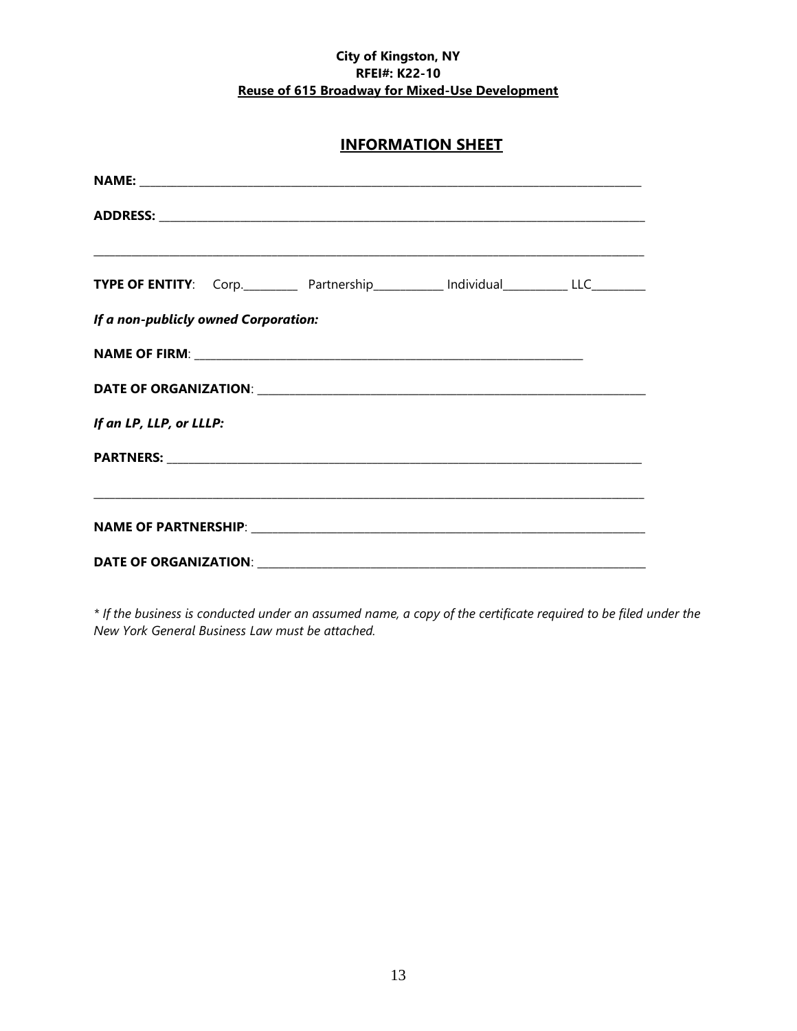# **INFORMATION SHEET**

|                                      |  | <b>TYPE OF ENTITY:</b> Corp._____________ Partnership_____________ Individual_____________LLC___________ |  |
|--------------------------------------|--|----------------------------------------------------------------------------------------------------------|--|
| If a non-publicly owned Corporation: |  |                                                                                                          |  |
|                                      |  |                                                                                                          |  |
|                                      |  |                                                                                                          |  |
| If an LP, LLP, or LLLP:              |  |                                                                                                          |  |
|                                      |  |                                                                                                          |  |
|                                      |  |                                                                                                          |  |
|                                      |  |                                                                                                          |  |
|                                      |  |                                                                                                          |  |

*\* If the business is conducted under an assumed name, a copy of the certificate required to be filed under the New York General Business Law must be attached.*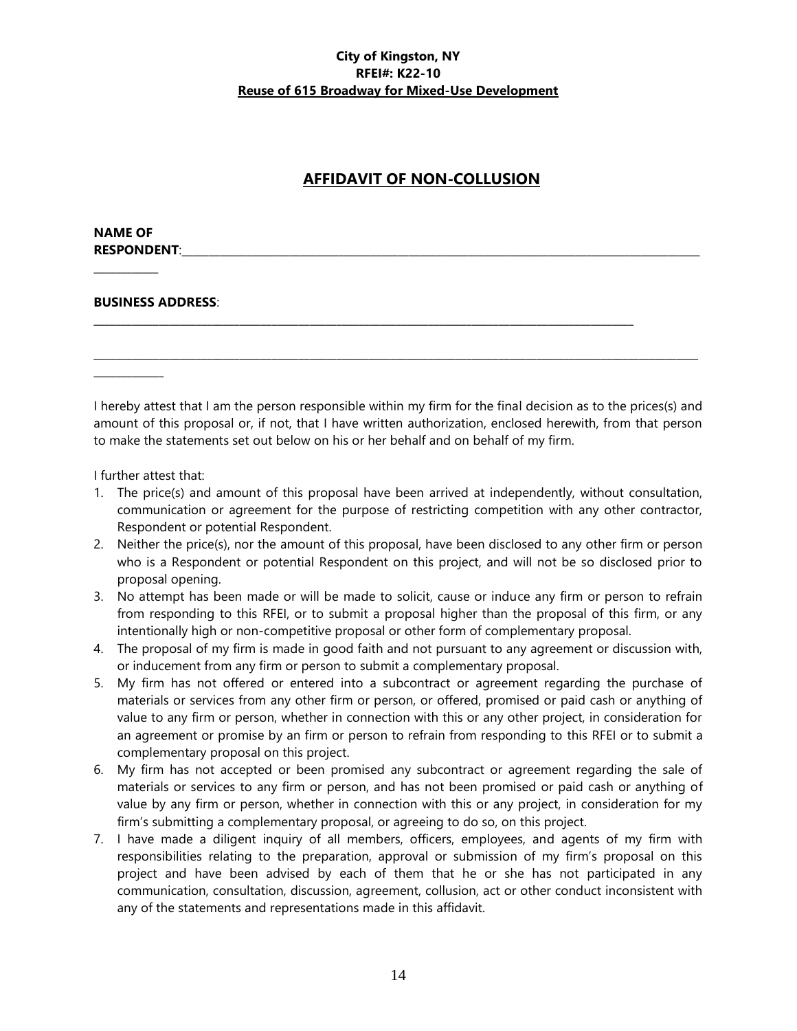# **AFFIDAVIT OF NON-COLLUSION**

#### **NAME OF RESPONDENT:**

 $\overline{\phantom{a}}$ 

 $\overline{\phantom{a}}$  ,  $\overline{\phantom{a}}$  ,  $\overline{\phantom{a}}$  ,  $\overline{\phantom{a}}$  ,  $\overline{\phantom{a}}$  ,  $\overline{\phantom{a}}$  ,  $\overline{\phantom{a}}$  ,  $\overline{\phantom{a}}$  ,  $\overline{\phantom{a}}$  ,  $\overline{\phantom{a}}$  ,  $\overline{\phantom{a}}$  ,  $\overline{\phantom{a}}$  ,  $\overline{\phantom{a}}$  ,  $\overline{\phantom{a}}$  ,  $\overline{\phantom{a}}$  ,  $\overline{\phantom{a}}$ 

### **BUSINESS ADDRESS**:

I hereby attest that I am the person responsible within my firm for the final decision as to the prices(s) and amount of this proposal or, if not, that I have written authorization, enclosed herewith, from that person to make the statements set out below on his or her behalf and on behalf of my firm.

 $\mathcal{L}_\mathcal{L} = \{ \mathcal{L}_\mathcal{L} = \{ \mathcal{L}_\mathcal{L} = \{ \mathcal{L}_\mathcal{L} = \{ \mathcal{L}_\mathcal{L} = \{ \mathcal{L}_\mathcal{L} = \{ \mathcal{L}_\mathcal{L} = \{ \mathcal{L}_\mathcal{L} = \{ \mathcal{L}_\mathcal{L} = \{ \mathcal{L}_\mathcal{L} = \{ \mathcal{L}_\mathcal{L} = \{ \mathcal{L}_\mathcal{L} = \{ \mathcal{L}_\mathcal{L} = \{ \mathcal{L}_\mathcal{L} = \{ \mathcal{L}_\mathcal{$ 

\_\_\_\_\_\_\_\_\_\_\_\_\_\_\_\_\_\_\_\_\_\_\_\_\_\_\_\_\_\_\_\_\_\_\_\_\_\_\_\_\_\_\_\_\_\_\_\_\_\_\_\_\_\_\_\_\_\_\_\_\_\_\_\_\_\_\_\_\_\_\_\_\_\_\_\_\_\_\_\_\_\_\_\_\_\_\_\_\_\_\_\_\_\_\_\_\_\_\_\_

I further attest that:

- 1. The price(s) and amount of this proposal have been arrived at independently, without consultation, communication or agreement for the purpose of restricting competition with any other contractor, Respondent or potential Respondent.
- 2. Neither the price(s), nor the amount of this proposal, have been disclosed to any other firm or person who is a Respondent or potential Respondent on this project, and will not be so disclosed prior to proposal opening.
- 3. No attempt has been made or will be made to solicit, cause or induce any firm or person to refrain from responding to this RFEI, or to submit a proposal higher than the proposal of this firm, or any intentionally high or non-competitive proposal or other form of complementary proposal.
- 4. The proposal of my firm is made in good faith and not pursuant to any agreement or discussion with, or inducement from any firm or person to submit a complementary proposal.
- 5. My firm has not offered or entered into a subcontract or agreement regarding the purchase of materials or services from any other firm or person, or offered, promised or paid cash or anything of value to any firm or person, whether in connection with this or any other project, in consideration for an agreement or promise by an firm or person to refrain from responding to this RFEI or to submit a complementary proposal on this project.
- 6. My firm has not accepted or been promised any subcontract or agreement regarding the sale of materials or services to any firm or person, and has not been promised or paid cash or anything of value by any firm or person, whether in connection with this or any project, in consideration for my firm's submitting a complementary proposal, or agreeing to do so, on this project.
- 7. I have made a diligent inquiry of all members, officers, employees, and agents of my firm with responsibilities relating to the preparation, approval or submission of my firm's proposal on this project and have been advised by each of them that he or she has not participated in any communication, consultation, discussion, agreement, collusion, act or other conduct inconsistent with any of the statements and representations made in this affidavit.